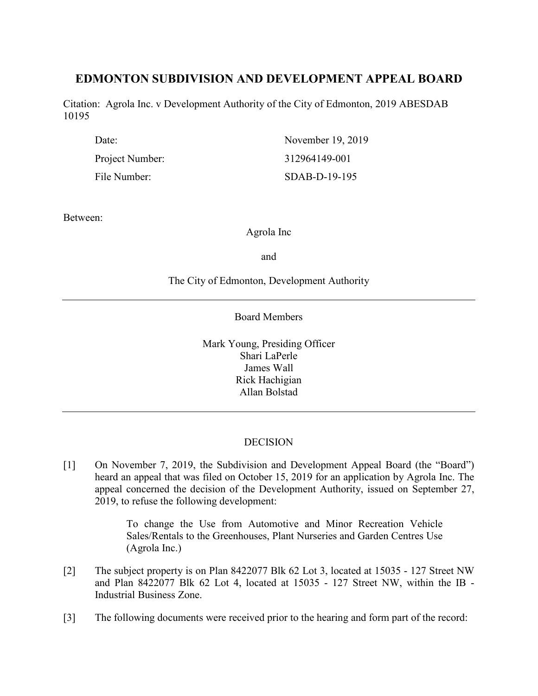# **EDMONTON SUBDIVISION AND DEVELOPMENT APPEAL BOARD**

Citation: Agrola Inc. v Development Authority of the City of Edmonton, 2019 ABESDAB 10195

| Date:           | November 19, 2019 |
|-----------------|-------------------|
| Project Number: | 312964149-001     |
| File Number:    | SDAB-D-19-195     |

Between:

Agrola Inc

and

# The City of Edmonton, Development Authority

Board Members

Mark Young, Presiding Officer Shari LaPerle James Wall Rick Hachigian Allan Bolstad

# **DECISION**

[1] On November 7, 2019, the Subdivision and Development Appeal Board (the "Board") heard an appeal that was filed on October 15, 2019 for an application by Agrola Inc. The appeal concerned the decision of the Development Authority, issued on September 27, 2019, to refuse the following development:

> To change the Use from Automotive and Minor Recreation Vehicle Sales/Rentals to the Greenhouses, Plant Nurseries and Garden Centres Use (Agrola Inc.)

- [2] The subject property is on Plan 8422077 Blk 62 Lot 3, located at 15035 127 Street NW and Plan 8422077 Blk 62 Lot 4, located at 15035 - 127 Street NW, within the IB - Industrial Business Zone.
- [3] The following documents were received prior to the hearing and form part of the record: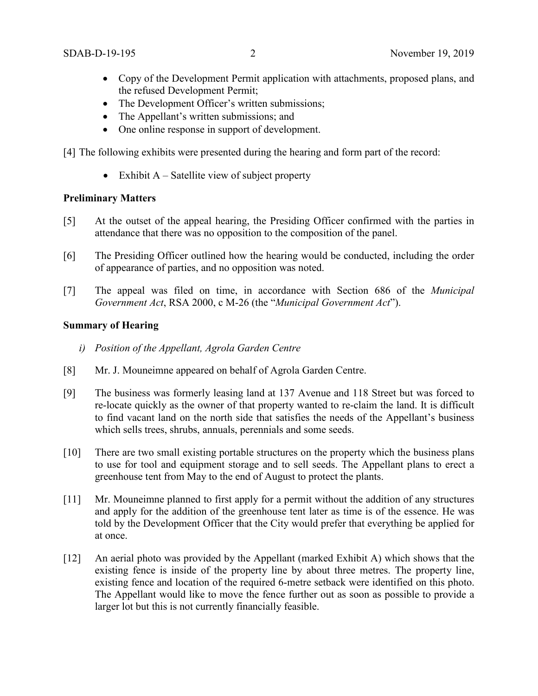- Copy of the Development Permit application with attachments, proposed plans, and the refused Development Permit;
- The Development Officer's written submissions;
- The Appellant's written submissions; and
- One online response in support of development.
- [4] The following exhibits were presented during the hearing and form part of the record:
	- Exhibit  $A -$  Satellite view of subject property

## **Preliminary Matters**

- [5] At the outset of the appeal hearing, the Presiding Officer confirmed with the parties in attendance that there was no opposition to the composition of the panel.
- [6] The Presiding Officer outlined how the hearing would be conducted, including the order of appearance of parties, and no opposition was noted.
- [7] The appeal was filed on time, in accordance with Section 686 of the *Municipal Government Act*, RSA 2000, c M-26 (the "*Municipal Government Act*").

#### **Summary of Hearing**

- *i) Position of the Appellant, Agrola Garden Centre*
- [8] Mr. J. Mouneimne appeared on behalf of Agrola Garden Centre.
- [9] The business was formerly leasing land at 137 Avenue and 118 Street but was forced to re-locate quickly as the owner of that property wanted to re-claim the land. It is difficult to find vacant land on the north side that satisfies the needs of the Appellant's business which sells trees, shrubs, annuals, perennials and some seeds.
- [10] There are two small existing portable structures on the property which the business plans to use for tool and equipment storage and to sell seeds. The Appellant plans to erect a greenhouse tent from May to the end of August to protect the plants.
- [11] Mr. Mouneimne planned to first apply for a permit without the addition of any structures and apply for the addition of the greenhouse tent later as time is of the essence. He was told by the Development Officer that the City would prefer that everything be applied for at once.
- [12] An aerial photo was provided by the Appellant (marked Exhibit A) which shows that the existing fence is inside of the property line by about three metres. The property line, existing fence and location of the required 6-metre setback were identified on this photo. The Appellant would like to move the fence further out as soon as possible to provide a larger lot but this is not currently financially feasible.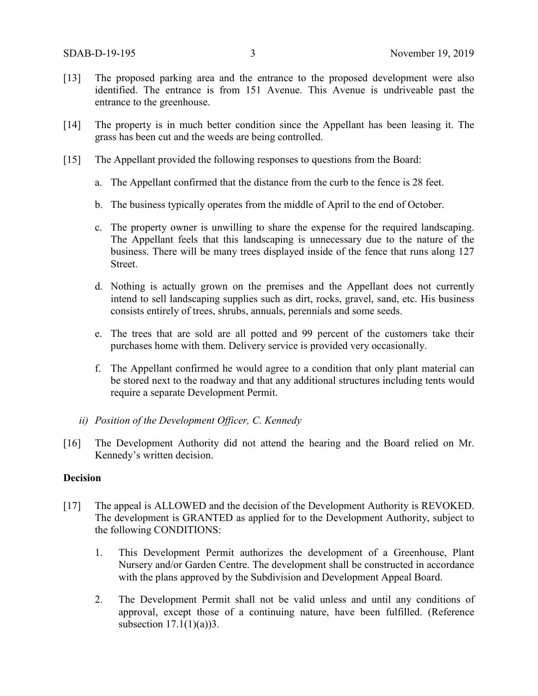- [13] The proposed parking area and the entrance to the proposed development were also identified. The entrance is from 151 Avenue. This Avenue is undriveable past the entrance to the greenhouse.
- [14] The property is in much better condition since the Appellant has been leasing it. The grass has been cut and the weeds are being controlled.
- [15] The Appellant provided the following responses to questions from the Board:
	- a. The Appellant confirmed that the distance from the curb to the fence is 28 feet.
	- b. The business typically operates from the middle of April to the end of October.
	- c. The property owner is unwilling to share the expense for the required landscaping. The Appellant feels that this landscaping is unnecessary due to the nature of the business. There will be many trees displayed inside of the fence that runs along 127 Street.
	- d. Nothing is actually grown on the premises and the Appellant does not currently intend to sell landscaping supplies such as dirt, rocks, gravel, sand, etc. His business consists entirely of trees, shrubs, annuals, perennials and some seeds.
	- e. The trees that are sold are all potted and 99 percent of the customers take their purchases home with them. Delivery service is provided very occasionally.
	- f. The Appellant confirmed he would agree to a condition that only plant material can be stored next to the roadway and that any additional structures including tents would require a separate Development Permit.
	- *ii) Position of the Development Officer, C. Kennedy*
- [16] The Development Authority did not attend the hearing and the Board relied on Mr. Kennedy's written decision.

## **Decision**

- [17] The appeal is ALLOWED and the decision of the Development Authority is REVOKED. The development is GRANTED as applied for to the Development Authority, subject to the following CONDITIONS:
	- 1. This Development Permit authorizes the development of a Greenhouse, Plant Nursery and/or Garden Centre. The development shall be constructed in accordance with the plans approved by the Subdivision and Development Appeal Board.
	- 2. The Development Permit shall not be valid unless and until any conditions of approval, except those of a continuing nature, have been fulfilled. (Reference subsection  $17.1(1)(a)$ )3.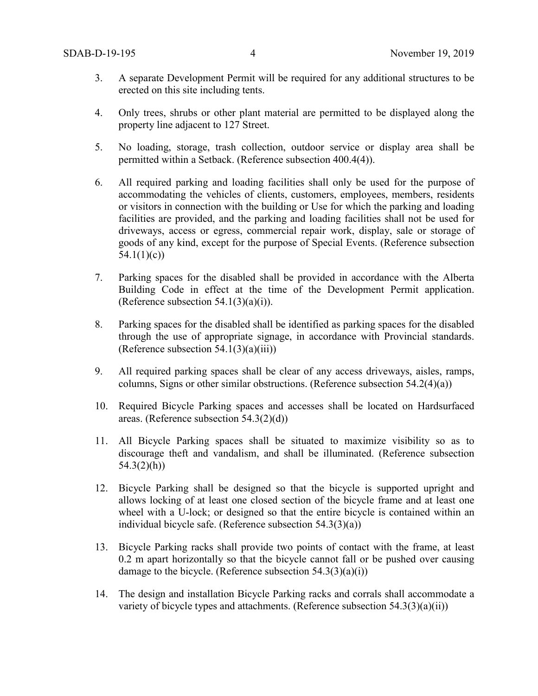- 3. A separate Development Permit will be required for any additional structures to be erected on this site including tents.
- 4. Only trees, shrubs or other plant material are permitted to be displayed along the property line adjacent to 127 Street.
- 5. No loading, storage, trash collection, outdoor service or display area shall be permitted within a Setback. (Reference subsection 400.4(4)).
- 6. All required parking and loading facilities shall only be used for the purpose of accommodating the vehicles of clients, customers, employees, members, residents or visitors in connection with the building or Use for which the parking and loading facilities are provided, and the parking and loading facilities shall not be used for driveways, access or egress, commercial repair work, display, sale or storage of goods of any kind, except for the purpose of Special Events. (Reference subsection 54.1(1)(c))
- 7. Parking spaces for the disabled shall be provided in accordance with the Alberta Building Code in effect at the time of the Development Permit application. (Reference subsection  $54.1(3)(a)(i)$ ).
- 8. Parking spaces for the disabled shall be identified as parking spaces for the disabled through the use of appropriate signage, in accordance with Provincial standards. (Reference subsection  $54.1(3)(a)(iii)$ )
- 9. All required parking spaces shall be clear of any access driveways, aisles, ramps, columns, Signs or other similar obstructions. (Reference subsection 54.2(4)(a))
- 10. Required Bicycle Parking spaces and accesses shall be located on Hardsurfaced areas. (Reference subsection 54.3(2)(d))
- 11. All Bicycle Parking spaces shall be situated to maximize visibility so as to discourage theft and vandalism, and shall be illuminated. (Reference subsection  $54.3(2)(h)$
- 12. Bicycle Parking shall be designed so that the bicycle is supported upright and allows locking of at least one closed section of the bicycle frame and at least one wheel with a U-lock; or designed so that the entire bicycle is contained within an individual bicycle safe. (Reference subsection 54.3(3)(a))
- 13. Bicycle Parking racks shall provide two points of contact with the frame, at least 0.2 m apart horizontally so that the bicycle cannot fall or be pushed over causing damage to the bicycle. (Reference subsection  $54.3(3)(a)(i)$ )
- 14. The design and installation Bicycle Parking racks and corrals shall accommodate a variety of bicycle types and attachments. (Reference subsection  $54.3(3)(a)(ii)$ )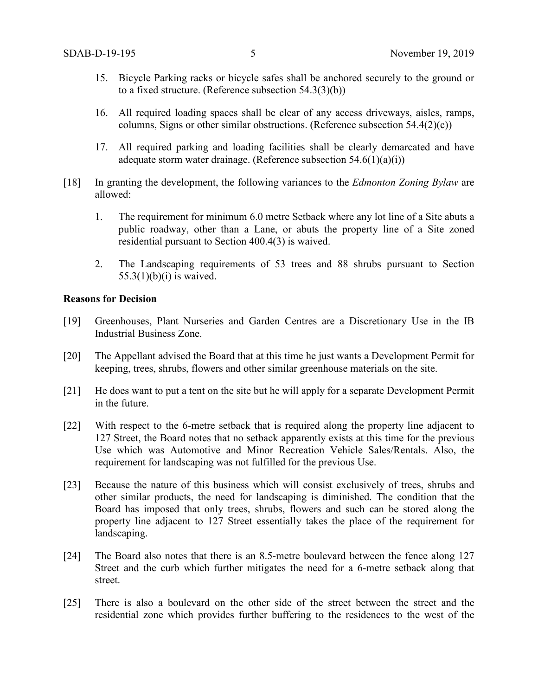- 15. Bicycle Parking racks or bicycle safes shall be anchored securely to the ground or to a fixed structure. (Reference subsection 54.3(3)(b))
- 16. All required loading spaces shall be clear of any access driveways, aisles, ramps, columns, Signs or other similar obstructions. (Reference subsection 54.4(2)(c))
- 17. All required parking and loading facilities shall be clearly demarcated and have adequate storm water drainage. (Reference subsection  $54.6(1)(a)(i)$ )
- [18] In granting the development, the following variances to the *Edmonton Zoning Bylaw* are allowed:
	- 1. The requirement for minimum 6.0 metre Setback where any lot line of a Site abuts a public roadway, other than a Lane, or abuts the property line of a Site zoned residential pursuant to Section 400.4(3) is waived.
	- 2. The Landscaping requirements of 53 trees and 88 shrubs pursuant to Section  $55.3(1)(b)(i)$  is waived.

#### **Reasons for Decision**

- [19] Greenhouses, Plant Nurseries and Garden Centres are a Discretionary Use in the IB Industrial Business Zone.
- [20] The Appellant advised the Board that at this time he just wants a Development Permit for keeping, trees, shrubs, flowers and other similar greenhouse materials on the site.
- [21] He does want to put a tent on the site but he will apply for a separate Development Permit in the future.
- [22] With respect to the 6-metre setback that is required along the property line adjacent to 127 Street, the Board notes that no setback apparently exists at this time for the previous Use which was Automotive and Minor Recreation Vehicle Sales/Rentals. Also, the requirement for landscaping was not fulfilled for the previous Use.
- [23] Because the nature of this business which will consist exclusively of trees, shrubs and other similar products, the need for landscaping is diminished. The condition that the Board has imposed that only trees, shrubs, flowers and such can be stored along the property line adjacent to 127 Street essentially takes the place of the requirement for landscaping.
- [24] The Board also notes that there is an 8.5-metre boulevard between the fence along 127 Street and the curb which further mitigates the need for a 6-metre setback along that street.
- [25] There is also a boulevard on the other side of the street between the street and the residential zone which provides further buffering to the residences to the west of the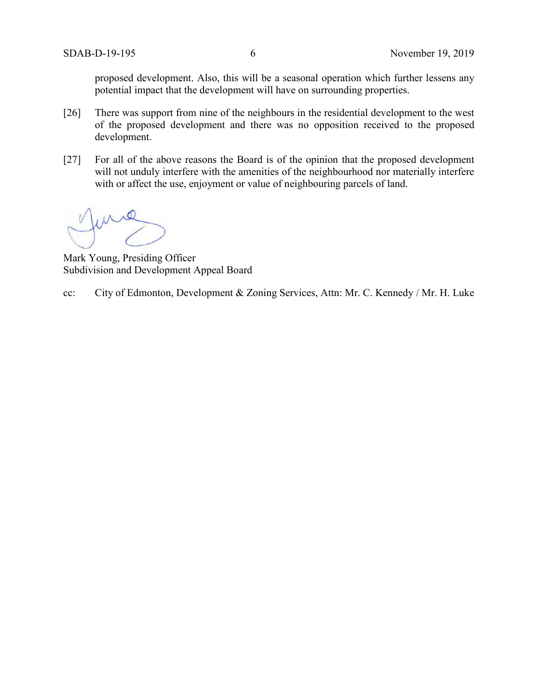proposed development. Also, this will be a seasonal operation which further lessens any potential impact that the development will have on surrounding properties.

- [26] There was support from nine of the neighbours in the residential development to the west of the proposed development and there was no opposition received to the proposed development.
- [27] For all of the above reasons the Board is of the opinion that the proposed development will not unduly interfere with the amenities of the neighbourhood nor materially interfere with or affect the use, enjoyment or value of neighbouring parcels of land.

Mark Young, Presiding Officer Subdivision and Development Appeal Board

cc: City of Edmonton, Development & Zoning Services, Attn: Mr. C. Kennedy / Mr. H. Luke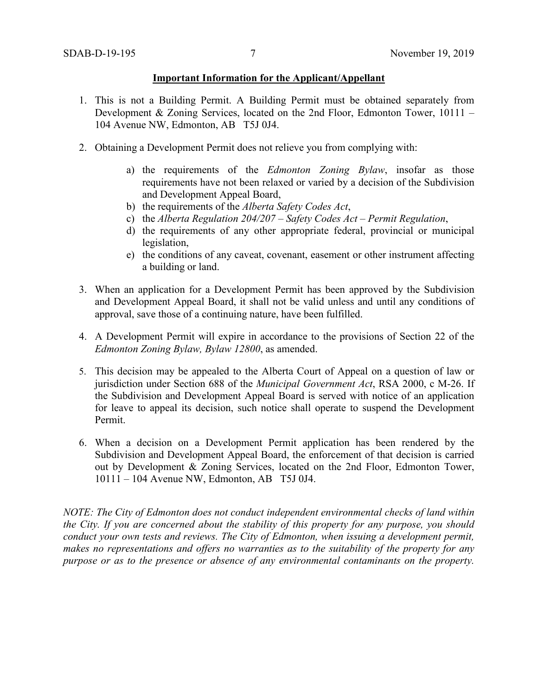#### **Important Information for the Applicant/Appellant**

- 1. This is not a Building Permit. A Building Permit must be obtained separately from Development & Zoning Services, located on the 2nd Floor, Edmonton Tower, 10111 – 104 Avenue NW, Edmonton, AB T5J 0J4.
- 2. Obtaining a Development Permit does not relieve you from complying with:
	- a) the requirements of the *Edmonton Zoning Bylaw*, insofar as those requirements have not been relaxed or varied by a decision of the Subdivision and Development Appeal Board,
	- b) the requirements of the *Alberta Safety Codes Act*,
	- c) the *Alberta Regulation 204/207 – Safety Codes Act – Permit Regulation*,
	- d) the requirements of any other appropriate federal, provincial or municipal legislation,
	- e) the conditions of any caveat, covenant, easement or other instrument affecting a building or land.
- 3. When an application for a Development Permit has been approved by the Subdivision and Development Appeal Board, it shall not be valid unless and until any conditions of approval, save those of a continuing nature, have been fulfilled.
- 4. A Development Permit will expire in accordance to the provisions of Section 22 of the *Edmonton Zoning Bylaw, Bylaw 12800*, as amended.
- 5. This decision may be appealed to the Alberta Court of Appeal on a question of law or jurisdiction under Section 688 of the *Municipal Government Act*, RSA 2000, c M-26. If the Subdivision and Development Appeal Board is served with notice of an application for leave to appeal its decision, such notice shall operate to suspend the Development Permit.
- 6. When a decision on a Development Permit application has been rendered by the Subdivision and Development Appeal Board, the enforcement of that decision is carried out by Development & Zoning Services, located on the 2nd Floor, Edmonton Tower, 10111 – 104 Avenue NW, Edmonton, AB T5J 0J4.

*NOTE: The City of Edmonton does not conduct independent environmental checks of land within the City. If you are concerned about the stability of this property for any purpose, you should conduct your own tests and reviews. The City of Edmonton, when issuing a development permit, makes no representations and offers no warranties as to the suitability of the property for any purpose or as to the presence or absence of any environmental contaminants on the property.*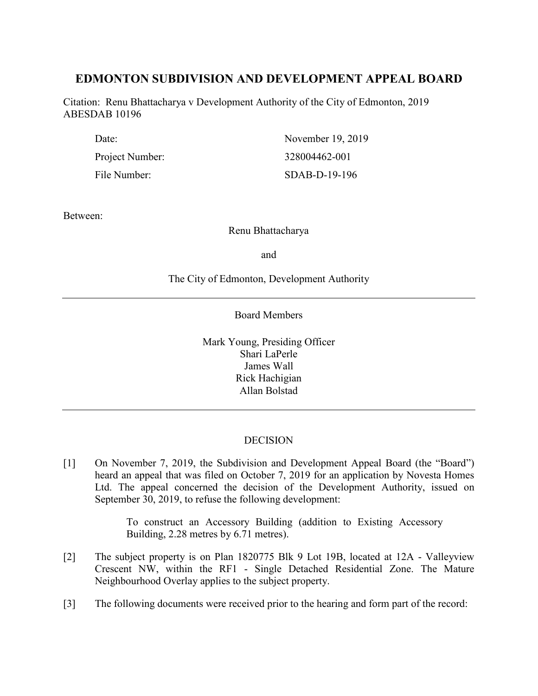# **EDMONTON SUBDIVISION AND DEVELOPMENT APPEAL BOARD**

Citation: Renu Bhattacharya v Development Authority of the City of Edmonton, 2019 ABESDAB 10196

| Date:           | November 19, 2019 |
|-----------------|-------------------|
| Project Number: | 328004462-001     |
| File Number:    | SDAB-D-19-196     |

Between:

Renu Bhattacharya

and

## The City of Edmonton, Development Authority

Board Members

Mark Young, Presiding Officer Shari LaPerle James Wall Rick Hachigian Allan Bolstad

# DECISION

[1] On November 7, 2019, the Subdivision and Development Appeal Board (the "Board") heard an appeal that was filed on October 7, 2019 for an application by Novesta Homes Ltd. The appeal concerned the decision of the Development Authority, issued on September 30, 2019, to refuse the following development:

> To construct an Accessory Building (addition to Existing Accessory Building, 2.28 metres by 6.71 metres).

- [2] The subject property is on Plan 1820775 Blk 9 Lot 19B, located at 12A Valleyview Crescent NW, within the RF1 - Single Detached Residential Zone. The Mature Neighbourhood Overlay applies to the subject property.
- [3] The following documents were received prior to the hearing and form part of the record: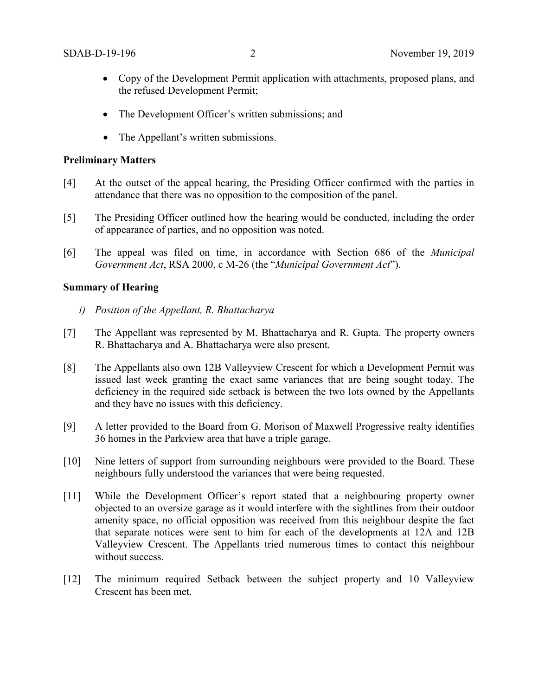- Copy of the Development Permit application with attachments, proposed plans, and the refused Development Permit;
- The Development Officer's written submissions; and
- The Appellant's written submissions.

#### **Preliminary Matters**

- [4] At the outset of the appeal hearing, the Presiding Officer confirmed with the parties in attendance that there was no opposition to the composition of the panel.
- [5] The Presiding Officer outlined how the hearing would be conducted, including the order of appearance of parties, and no opposition was noted.
- [6] The appeal was filed on time, in accordance with Section 686 of the *Municipal Government Act*, RSA 2000, c M-26 (the "*Municipal Government Act*").

## **Summary of Hearing**

- *i) Position of the Appellant, R. Bhattacharya*
- [7] The Appellant was represented by M. Bhattacharya and R. Gupta. The property owners R. Bhattacharya and A. Bhattacharya were also present.
- [8] The Appellants also own 12B Valleyview Crescent for which a Development Permit was issued last week granting the exact same variances that are being sought today. The deficiency in the required side setback is between the two lots owned by the Appellants and they have no issues with this deficiency.
- [9] A letter provided to the Board from G. Morison of Maxwell Progressive realty identifies 36 homes in the Parkview area that have a triple garage.
- [10] Nine letters of support from surrounding neighbours were provided to the Board. These neighbours fully understood the variances that were being requested.
- [11] While the Development Officer's report stated that a neighbouring property owner objected to an oversize garage as it would interfere with the sightlines from their outdoor amenity space, no official opposition was received from this neighbour despite the fact that separate notices were sent to him for each of the developments at 12A and 12B Valleyview Crescent. The Appellants tried numerous times to contact this neighbour without success.
- [12] The minimum required Setback between the subject property and 10 Valleyview Crescent has been met.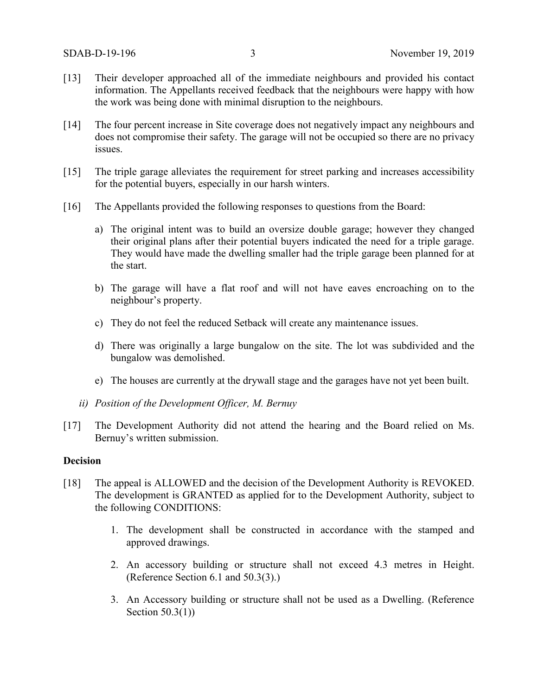- [13] Their developer approached all of the immediate neighbours and provided his contact information. The Appellants received feedback that the neighbours were happy with how the work was being done with minimal disruption to the neighbours.
- [14] The four percent increase in Site coverage does not negatively impact any neighbours and does not compromise their safety. The garage will not be occupied so there are no privacy issues.
- [15] The triple garage alleviates the requirement for street parking and increases accessibility for the potential buyers, especially in our harsh winters.
- [16] The Appellants provided the following responses to questions from the Board:
	- a) The original intent was to build an oversize double garage; however they changed their original plans after their potential buyers indicated the need for a triple garage. They would have made the dwelling smaller had the triple garage been planned for at the start.
	- b) The garage will have a flat roof and will not have eaves encroaching on to the neighbour's property.
	- c) They do not feel the reduced Setback will create any maintenance issues.
	- d) There was originally a large bungalow on the site. The lot was subdivided and the bungalow was demolished.
	- e) The houses are currently at the drywall stage and the garages have not yet been built.
	- *ii) Position of the Development Officer, M. Bernuy*
- [17] The Development Authority did not attend the hearing and the Board relied on Ms. Bernuy's written submission.

### **Decision**

- [18] The appeal is ALLOWED and the decision of the Development Authority is REVOKED. The development is GRANTED as applied for to the Development Authority, subject to the following CONDITIONS:
	- 1. The development shall be constructed in accordance with the stamped and approved drawings.
	- 2. An accessory building or structure shall not exceed 4.3 metres in Height. (Reference Section 6.1 and 50.3(3).)
	- 3. An Accessory building or structure shall not be used as a Dwelling. (Reference Section 50.3(1))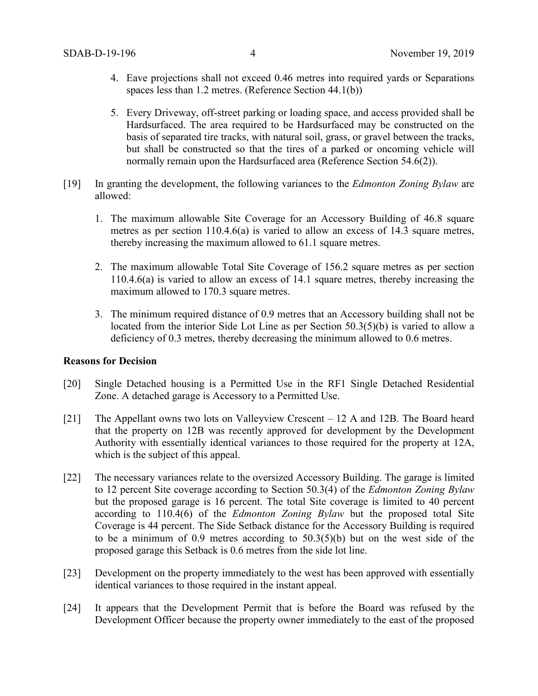- 4. Eave projections shall not exceed 0.46 metres into required yards or Separations spaces less than 1.2 metres. (Reference Section 44.1(b))
- 5. Every Driveway, off-street parking or loading space, and access provided shall be Hardsurfaced. The area required to be Hardsurfaced may be constructed on the basis of separated tire tracks, with natural soil, grass, or gravel between the tracks, but shall be constructed so that the tires of a parked or oncoming vehicle will normally remain upon the Hardsurfaced area (Reference Section 54.6(2)).
- [19] In granting the development, the following variances to the *Edmonton Zoning Bylaw* are allowed:
	- 1. The maximum allowable Site Coverage for an Accessory Building of 46.8 square metres as per section 110.4.6(a) is varied to allow an excess of 14.3 square metres, thereby increasing the maximum allowed to 61.1 square metres.
	- 2. The maximum allowable Total Site Coverage of 156.2 square metres as per section 110.4.6(a) is varied to allow an excess of 14.1 square metres, thereby increasing the maximum allowed to 170.3 square metres.
	- 3. The minimum required distance of 0.9 metres that an Accessory building shall not be located from the interior Side Lot Line as per Section 50.3(5)(b) is varied to allow a deficiency of 0.3 metres, thereby decreasing the minimum allowed to 0.6 metres.

#### **Reasons for Decision**

- [20] Single Detached housing is a Permitted Use in the RF1 Single Detached Residential Zone. A detached garage is Accessory to a Permitted Use.
- [21] The Appellant owns two lots on Valleyview Crescent 12 A and 12B. The Board heard that the property on 12B was recently approved for development by the Development Authority with essentially identical variances to those required for the property at 12A, which is the subject of this appeal.
- [22] The necessary variances relate to the oversized Accessory Building. The garage is limited to 12 percent Site coverage according to Section 50.3(4) of the *Edmonton Zoning Bylaw* but the proposed garage is 16 percent. The total Site coverage is limited to 40 percent according to 110.4(6) of the *Edmonton Zoning Bylaw* but the proposed total Site Coverage is 44 percent. The Side Setback distance for the Accessory Building is required to be a minimum of 0.9 metres according to 50.3(5)(b) but on the west side of the proposed garage this Setback is 0.6 metres from the side lot line.
- [23] Development on the property immediately to the west has been approved with essentially identical variances to those required in the instant appeal.
- [24] It appears that the Development Permit that is before the Board was refused by the Development Officer because the property owner immediately to the east of the proposed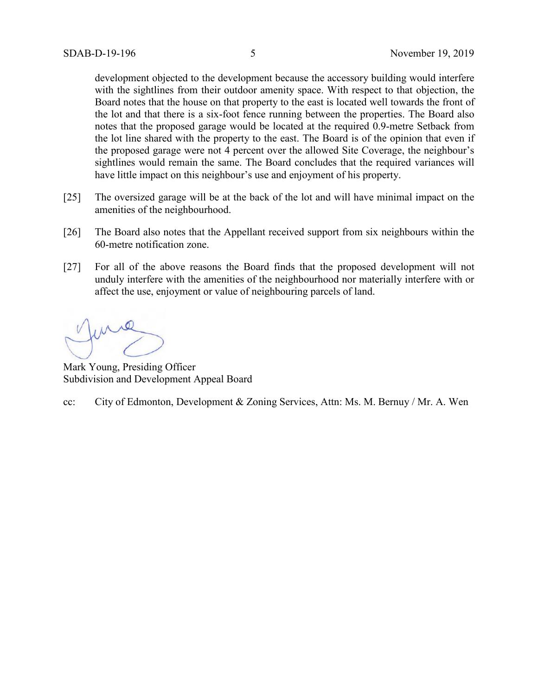development objected to the development because the accessory building would interfere with the sightlines from their outdoor amenity space. With respect to that objection, the Board notes that the house on that property to the east is located well towards the front of the lot and that there is a six-foot fence running between the properties. The Board also notes that the proposed garage would be located at the required 0.9-metre Setback from the lot line shared with the property to the east. The Board is of the opinion that even if the proposed garage were not 4 percent over the allowed Site Coverage, the neighbour's sightlines would remain the same. The Board concludes that the required variances will have little impact on this neighbour's use and enjoyment of his property.

- [25] The oversized garage will be at the back of the lot and will have minimal impact on the amenities of the neighbourhood.
- [26] The Board also notes that the Appellant received support from six neighbours within the 60-metre notification zone.
- [27] For all of the above reasons the Board finds that the proposed development will not unduly interfere with the amenities of the neighbourhood nor materially interfere with or affect the use, enjoyment or value of neighbouring parcels of land.

Mark Young, Presiding Officer Subdivision and Development Appeal Board

cc: City of Edmonton, Development & Zoning Services, Attn: Ms. M. Bernuy / Mr. A. Wen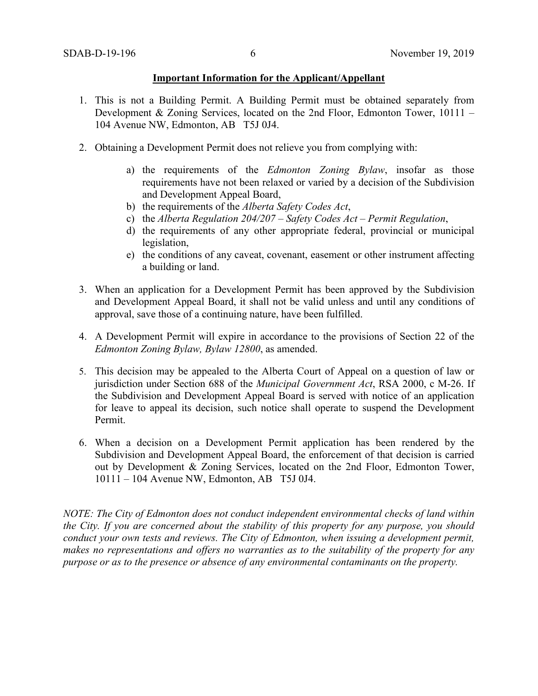#### **Important Information for the Applicant/Appellant**

- 1. This is not a Building Permit. A Building Permit must be obtained separately from Development & Zoning Services, located on the 2nd Floor, Edmonton Tower, 10111 – 104 Avenue NW, Edmonton, AB T5J 0J4.
- 2. Obtaining a Development Permit does not relieve you from complying with:
	- a) the requirements of the *Edmonton Zoning Bylaw*, insofar as those requirements have not been relaxed or varied by a decision of the Subdivision and Development Appeal Board,
	- b) the requirements of the *Alberta Safety Codes Act*,
	- c) the *Alberta Regulation 204/207 – Safety Codes Act – Permit Regulation*,
	- d) the requirements of any other appropriate federal, provincial or municipal legislation,
	- e) the conditions of any caveat, covenant, easement or other instrument affecting a building or land.
- 3. When an application for a Development Permit has been approved by the Subdivision and Development Appeal Board, it shall not be valid unless and until any conditions of approval, save those of a continuing nature, have been fulfilled.
- 4. A Development Permit will expire in accordance to the provisions of Section 22 of the *Edmonton Zoning Bylaw, Bylaw 12800*, as amended.
- 5. This decision may be appealed to the Alberta Court of Appeal on a question of law or jurisdiction under Section 688 of the *Municipal Government Act*, RSA 2000, c M-26. If the Subdivision and Development Appeal Board is served with notice of an application for leave to appeal its decision, such notice shall operate to suspend the Development Permit.
- 6. When a decision on a Development Permit application has been rendered by the Subdivision and Development Appeal Board, the enforcement of that decision is carried out by Development & Zoning Services, located on the 2nd Floor, Edmonton Tower, 10111 – 104 Avenue NW, Edmonton, AB T5J 0J4.

*NOTE: The City of Edmonton does not conduct independent environmental checks of land within the City. If you are concerned about the stability of this property for any purpose, you should conduct your own tests and reviews. The City of Edmonton, when issuing a development permit, makes no representations and offers no warranties as to the suitability of the property for any purpose or as to the presence or absence of any environmental contaminants on the property.*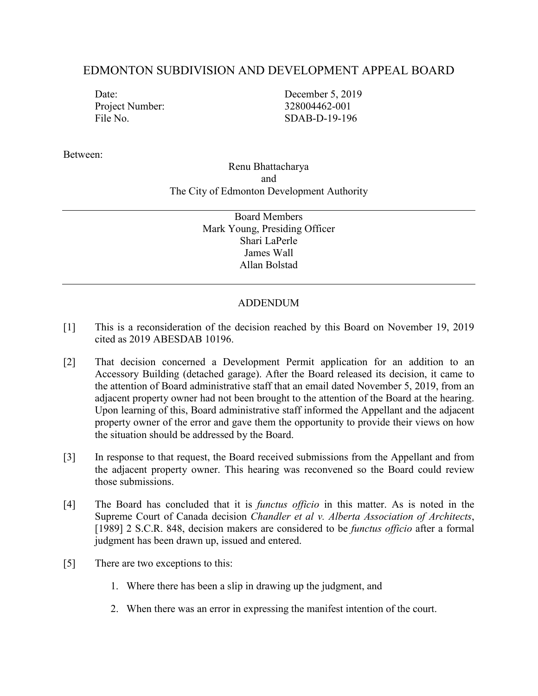# EDMONTON SUBDIVISION AND DEVELOPMENT APPEAL BOARD

Project Number: 328004462-001

Date: December 5, 2019 File No. SDAB-D-19-196

Between:

## Renu Bhattacharya and The City of Edmonton Development Authority

Board Members Mark Young, Presiding Officer Shari LaPerle James Wall Allan Bolstad

# ADDENDUM

- [1] This is a reconsideration of the decision reached by this Board on November 19, 2019 cited as 2019 ABESDAB 10196.
- [2] That decision concerned a Development Permit application for an addition to an Accessory Building (detached garage). After the Board released its decision, it came to the attention of Board administrative staff that an email dated November 5, 2019, from an adjacent property owner had not been brought to the attention of the Board at the hearing. Upon learning of this, Board administrative staff informed the Appellant and the adjacent property owner of the error and gave them the opportunity to provide their views on how the situation should be addressed by the Board.
- [3] In response to that request, the Board received submissions from the Appellant and from the adjacent property owner. This hearing was reconvened so the Board could review those submissions.
- [4] The Board has concluded that it is *functus officio* in this matter. As is noted in the Supreme Court of Canada decision *Chandler et al v. Alberta Association of Architects*, [1989] 2 S.C.R. 848, decision makers are considered to be *functus officio* after a formal judgment has been drawn up, issued and entered.
- [5] There are two exceptions to this:
	- 1. Where there has been a slip in drawing up the judgment, and
	- 2. When there was an error in expressing the manifest intention of the court.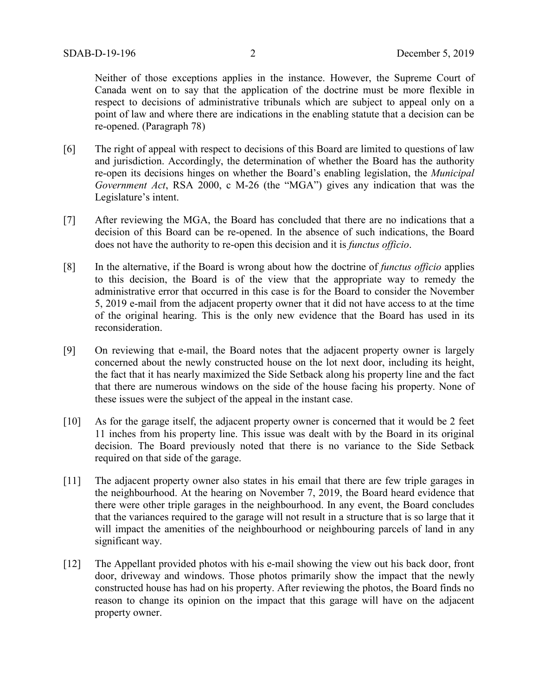Neither of those exceptions applies in the instance. However, the Supreme Court of Canada went on to say that the application of the doctrine must be more flexible in respect to decisions of administrative tribunals which are subject to appeal only on a point of law and where there are indications in the enabling statute that a decision can be re-opened. (Paragraph 78)

- [6] The right of appeal with respect to decisions of this Board are limited to questions of law and jurisdiction. Accordingly, the determination of whether the Board has the authority re-open its decisions hinges on whether the Board's enabling legislation, the *Municipal Government Act*, RSA 2000, c M-26 (the "MGA") gives any indication that was the Legislature's intent.
- [7] After reviewing the MGA, the Board has concluded that there are no indications that a decision of this Board can be re-opened. In the absence of such indications, the Board does not have the authority to re-open this decision and it is *functus officio*.
- [8] In the alternative, if the Board is wrong about how the doctrine of *functus officio* applies to this decision, the Board is of the view that the appropriate way to remedy the administrative error that occurred in this case is for the Board to consider the November 5, 2019 e-mail from the adjacent property owner that it did not have access to at the time of the original hearing. This is the only new evidence that the Board has used in its reconsideration.
- [9] On reviewing that e-mail, the Board notes that the adjacent property owner is largely concerned about the newly constructed house on the lot next door, including its height, the fact that it has nearly maximized the Side Setback along his property line and the fact that there are numerous windows on the side of the house facing his property. None of these issues were the subject of the appeal in the instant case.
- [10] As for the garage itself, the adjacent property owner is concerned that it would be 2 feet 11 inches from his property line. This issue was dealt with by the Board in its original decision. The Board previously noted that there is no variance to the Side Setback required on that side of the garage.
- [11] The adjacent property owner also states in his email that there are few triple garages in the neighbourhood. At the hearing on November 7, 2019, the Board heard evidence that there were other triple garages in the neighbourhood. In any event, the Board concludes that the variances required to the garage will not result in a structure that is so large that it will impact the amenities of the neighbourhood or neighbouring parcels of land in any significant way.
- [12] The Appellant provided photos with his e-mail showing the view out his back door, front door, driveway and windows. Those photos primarily show the impact that the newly constructed house has had on his property. After reviewing the photos, the Board finds no reason to change its opinion on the impact that this garage will have on the adjacent property owner.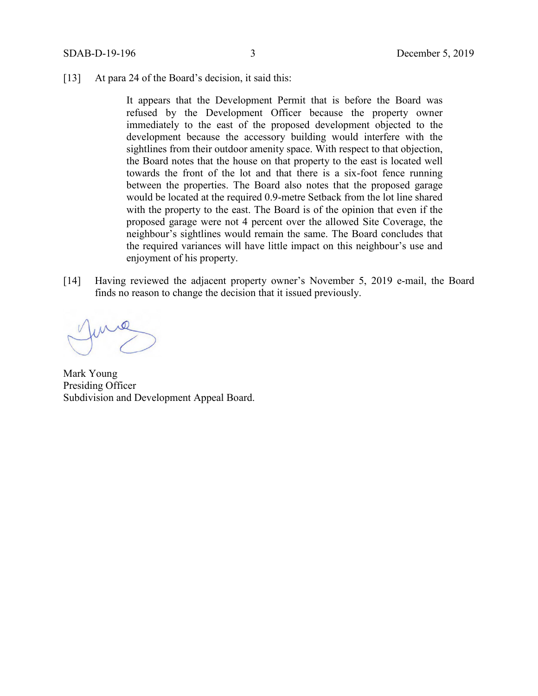[13] At para 24 of the Board's decision, it said this:

It appears that the Development Permit that is before the Board was refused by the Development Officer because the property owner immediately to the east of the proposed development objected to the development because the accessory building would interfere with the sightlines from their outdoor amenity space. With respect to that objection, the Board notes that the house on that property to the east is located well towards the front of the lot and that there is a six-foot fence running between the properties. The Board also notes that the proposed garage would be located at the required 0.9-metre Setback from the lot line shared with the property to the east. The Board is of the opinion that even if the proposed garage were not 4 percent over the allowed Site Coverage, the neighbour's sightlines would remain the same. The Board concludes that the required variances will have little impact on this neighbour's use and enjoyment of his property.

[14] Having reviewed the adjacent property owner's November 5, 2019 e-mail, the Board finds no reason to change the decision that it issued previously.

Mark Young Presiding Officer Subdivision and Development Appeal Board.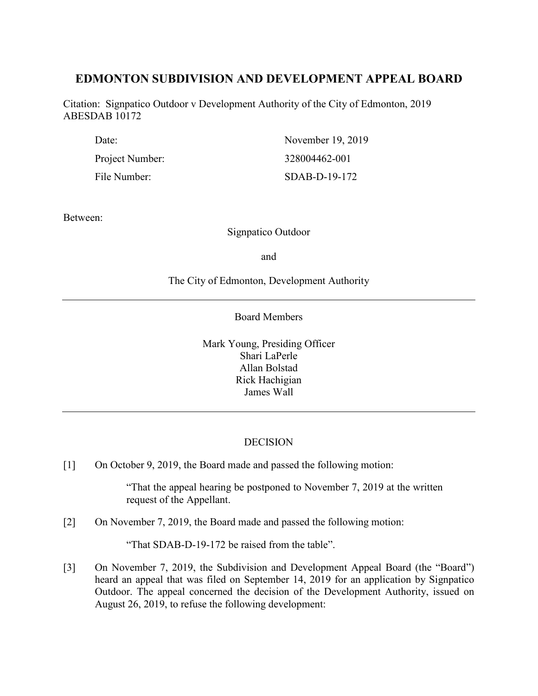# **EDMONTON SUBDIVISION AND DEVELOPMENT APPEAL BOARD**

Citation: Signpatico Outdoor v Development Authority of the City of Edmonton, 2019 ABESDAB 10172

| Date:           | November 19, 2019 |
|-----------------|-------------------|
| Project Number: | 328004462-001     |
| File Number:    | $SDAB-D-19-172$   |

Between:

Signpatico Outdoor

and

## The City of Edmonton, Development Authority

Board Members

Mark Young, Presiding Officer Shari LaPerle Allan Bolstad Rick Hachigian James Wall

## **DECISION**

[1] On October 9, 2019, the Board made and passed the following motion:

"That the appeal hearing be postponed to November 7, 2019 at the written request of the Appellant.

[2] On November 7, 2019, the Board made and passed the following motion:

"That SDAB-D-19-172 be raised from the table".

[3] On November 7, 2019, the Subdivision and Development Appeal Board (the "Board") heard an appeal that was filed on September 14, 2019 for an application by Signpatico Outdoor. The appeal concerned the decision of the Development Authority, issued on August 26, 2019, to refuse the following development: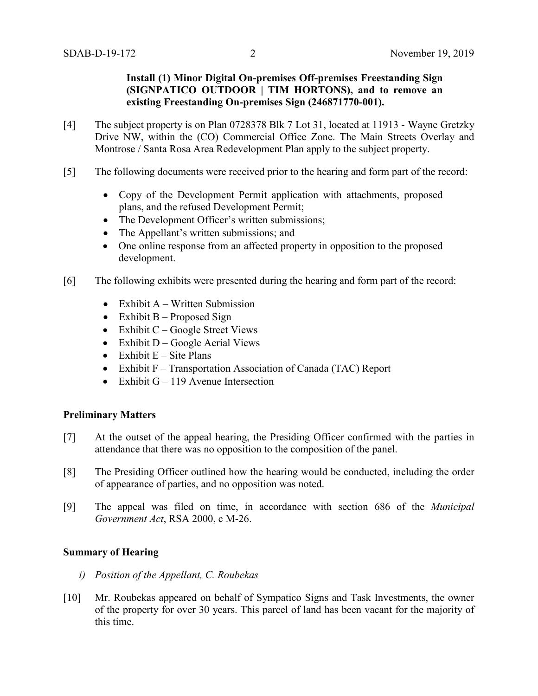## **Install (1) Minor Digital On-premises Off-premises Freestanding Sign (SIGNPATICO OUTDOOR | TIM HORTONS), and to remove an existing Freestanding On-premises Sign (246871770-001).**

- [4] The subject property is on Plan 0728378 Blk 7 Lot 31, located at 11913 Wayne Gretzky Drive NW, within the (CO) Commercial Office Zone. The Main Streets Overlay and Montrose / Santa Rosa Area Redevelopment Plan apply to the subject property.
- [5] The following documents were received prior to the hearing and form part of the record:
	- Copy of the Development Permit application with attachments, proposed plans, and the refused Development Permit;
	- The Development Officer's written submissions;
	- The Appellant's written submissions; and
	- One online response from an affected property in opposition to the proposed development.
- [6] The following exhibits were presented during the hearing and form part of the record:
	- Exhibit  $A W$ ritten Submission
	- Exhibit  $B -$  Proposed Sign
	- Exhibit  $C Google Street Views$
	- Exhibit  $D Google$  Aerial Views
	- Exhibit  $E -$  Site Plans
	- Exhibit F Transportation Association of Canada (TAC) Report
	- Exhibit  $G 119$  Avenue Intersection

## **Preliminary Matters**

- [7] At the outset of the appeal hearing, the Presiding Officer confirmed with the parties in attendance that there was no opposition to the composition of the panel.
- [8] The Presiding Officer outlined how the hearing would be conducted, including the order of appearance of parties, and no opposition was noted.
- [9] The appeal was filed on time, in accordance with section 686 of the *Municipal Government Act*, RSA 2000, c M-26.

## **Summary of Hearing**

- *i) Position of the Appellant, C. Roubekas*
- [10] Mr. Roubekas appeared on behalf of Sympatico Signs and Task Investments, the owner of the property for over 30 years. This parcel of land has been vacant for the majority of this time.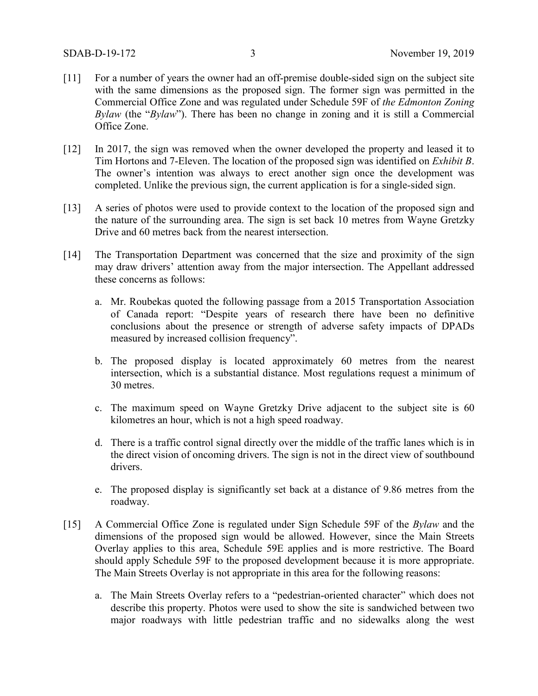- [11] For a number of years the owner had an off-premise double-sided sign on the subject site with the same dimensions as the proposed sign. The former sign was permitted in the Commercial Office Zone and was regulated under Schedule 59F of *the Edmonton Zoning Bylaw* (the "*Bylaw*"). There has been no change in zoning and it is still a Commercial Office Zone.
- [12] In 2017, the sign was removed when the owner developed the property and leased it to Tim Hortons and 7-Eleven. The location of the proposed sign was identified on *Exhibit B*. The owner's intention was always to erect another sign once the development was completed. Unlike the previous sign, the current application is for a single-sided sign.
- [13] A series of photos were used to provide context to the location of the proposed sign and the nature of the surrounding area. The sign is set back 10 metres from Wayne Gretzky Drive and 60 metres back from the nearest intersection.
- [14] The Transportation Department was concerned that the size and proximity of the sign may draw drivers' attention away from the major intersection. The Appellant addressed these concerns as follows:
	- a. Mr. Roubekas quoted the following passage from a 2015 Transportation Association of Canada report: "Despite years of research there have been no definitive conclusions about the presence or strength of adverse safety impacts of DPADs measured by increased collision frequency".
	- b. The proposed display is located approximately 60 metres from the nearest intersection, which is a substantial distance. Most regulations request a minimum of 30 metres.
	- c. The maximum speed on Wayne Gretzky Drive adjacent to the subject site is 60 kilometres an hour, which is not a high speed roadway.
	- d. There is a traffic control signal directly over the middle of the traffic lanes which is in the direct vision of oncoming drivers. The sign is not in the direct view of southbound drivers.
	- e. The proposed display is significantly set back at a distance of 9.86 metres from the roadway.
- [15] A Commercial Office Zone is regulated under Sign Schedule 59F of the *Bylaw* and the dimensions of the proposed sign would be allowed. However, since the Main Streets Overlay applies to this area, Schedule 59E applies and is more restrictive. The Board should apply Schedule 59F to the proposed development because it is more appropriate. The Main Streets Overlay is not appropriate in this area for the following reasons:
	- a. The Main Streets Overlay refers to a "pedestrian-oriented character" which does not describe this property. Photos were used to show the site is sandwiched between two major roadways with little pedestrian traffic and no sidewalks along the west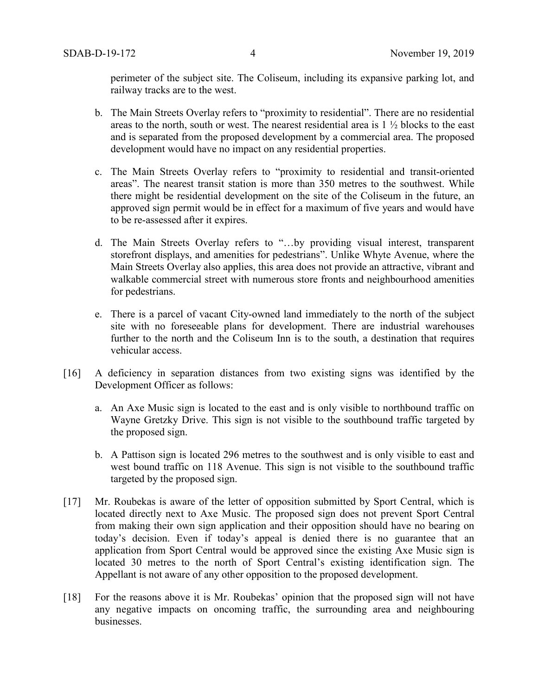perimeter of the subject site. The Coliseum, including its expansive parking lot, and railway tracks are to the west.

- b. The Main Streets Overlay refers to "proximity to residential". There are no residential areas to the north, south or west. The nearest residential area is 1 ½ blocks to the east and is separated from the proposed development by a commercial area. The proposed development would have no impact on any residential properties.
- c. The Main Streets Overlay refers to "proximity to residential and transit-oriented areas". The nearest transit station is more than 350 metres to the southwest. While there might be residential development on the site of the Coliseum in the future, an approved sign permit would be in effect for a maximum of five years and would have to be re-assessed after it expires.
- d. The Main Streets Overlay refers to "…by providing visual interest, transparent storefront displays, and amenities for pedestrians". Unlike Whyte Avenue, where the Main Streets Overlay also applies, this area does not provide an attractive, vibrant and walkable commercial street with numerous store fronts and neighbourhood amenities for pedestrians.
- e. There is a parcel of vacant City-owned land immediately to the north of the subject site with no foreseeable plans for development. There are industrial warehouses further to the north and the Coliseum Inn is to the south, a destination that requires vehicular access.
- [16] A deficiency in separation distances from two existing signs was identified by the Development Officer as follows:
	- a. An Axe Music sign is located to the east and is only visible to northbound traffic on Wayne Gretzky Drive. This sign is not visible to the southbound traffic targeted by the proposed sign.
	- b. A Pattison sign is located 296 metres to the southwest and is only visible to east and west bound traffic on 118 Avenue. This sign is not visible to the southbound traffic targeted by the proposed sign.
- [17] Mr. Roubekas is aware of the letter of opposition submitted by Sport Central, which is located directly next to Axe Music. The proposed sign does not prevent Sport Central from making their own sign application and their opposition should have no bearing on today's decision. Even if today's appeal is denied there is no guarantee that an application from Sport Central would be approved since the existing Axe Music sign is located 30 metres to the north of Sport Central's existing identification sign. The Appellant is not aware of any other opposition to the proposed development.
- [18] For the reasons above it is Mr. Roubekas' opinion that the proposed sign will not have any negative impacts on oncoming traffic, the surrounding area and neighbouring businesses.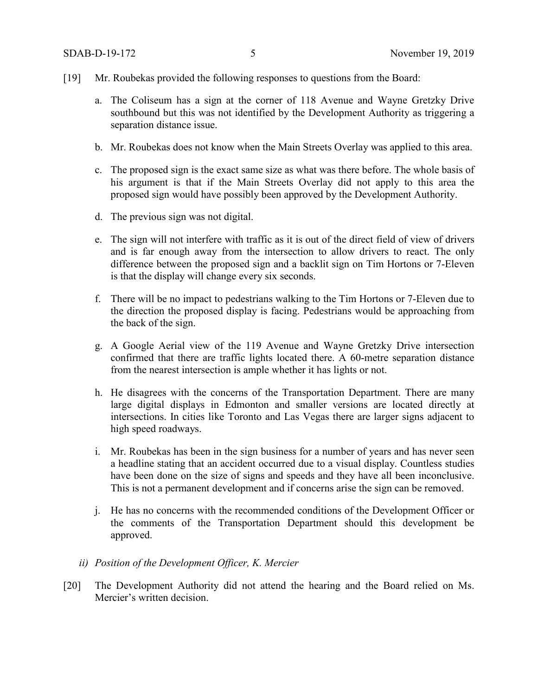- [19] Mr. Roubekas provided the following responses to questions from the Board:
	- a. The Coliseum has a sign at the corner of 118 Avenue and Wayne Gretzky Drive southbound but this was not identified by the Development Authority as triggering a separation distance issue.
	- b. Mr. Roubekas does not know when the Main Streets Overlay was applied to this area.
	- c. The proposed sign is the exact same size as what was there before. The whole basis of his argument is that if the Main Streets Overlay did not apply to this area the proposed sign would have possibly been approved by the Development Authority.
	- d. The previous sign was not digital.
	- e. The sign will not interfere with traffic as it is out of the direct field of view of drivers and is far enough away from the intersection to allow drivers to react. The only difference between the proposed sign and a backlit sign on Tim Hortons or 7-Eleven is that the display will change every six seconds.
	- f. There will be no impact to pedestrians walking to the Tim Hortons or 7-Eleven due to the direction the proposed display is facing. Pedestrians would be approaching from the back of the sign.
	- g. A Google Aerial view of the 119 Avenue and Wayne Gretzky Drive intersection confirmed that there are traffic lights located there. A 60-metre separation distance from the nearest intersection is ample whether it has lights or not.
	- h. He disagrees with the concerns of the Transportation Department. There are many large digital displays in Edmonton and smaller versions are located directly at intersections. In cities like Toronto and Las Vegas there are larger signs adjacent to high speed roadways.
	- i. Mr. Roubekas has been in the sign business for a number of years and has never seen a headline stating that an accident occurred due to a visual display. Countless studies have been done on the size of signs and speeds and they have all been inconclusive. This is not a permanent development and if concerns arise the sign can be removed.
	- j. He has no concerns with the recommended conditions of the Development Officer or the comments of the Transportation Department should this development be approved.
	- *ii) Position of the Development Officer, K. Mercier*
- [20] The Development Authority did not attend the hearing and the Board relied on Ms. Mercier's written decision.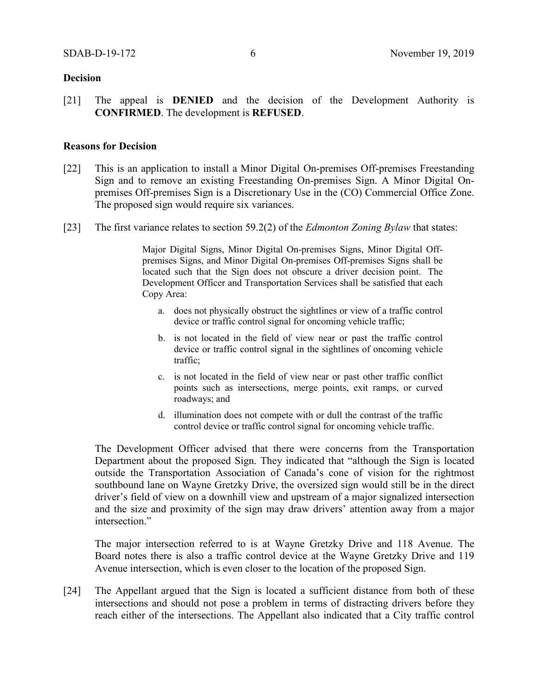#### **Decision**

[21] The appeal is **DENIED** and the decision of the Development Authority is **CONFIRMED**. The development is **REFUSED**.

#### **Reasons for Decision**

- [22] This is an application to install a Minor Digital On-premises Off-premises Freestanding Sign and to remove an existing Freestanding On-premises Sign. A Minor Digital Onpremises Off-premises Sign is a Discretionary Use in the (CO) Commercial Office Zone. The proposed sign would require six variances.
- [23] The first variance relates to section 59.2(2) of the *Edmonton Zoning Bylaw* that states:

Major Digital Signs, Minor Digital On-premises Signs, Minor Digital Offpremises Signs, and Minor Digital On-premises Off-premises Signs shall be located such that the Sign does not obscure a driver decision point. The Development Officer and Transportation Services shall be satisfied that each Copy Area:

- a. does not physically obstruct the sightlines or view of a traffic control device or traffic control signal for oncoming vehicle traffic;
- b. is not located in the field of view near or past the traffic control device or traffic control signal in the sightlines of oncoming vehicle traffic;
- c. is not located in the field of view near or past other traffic conflict points such as intersections, merge points, exit ramps, or curved roadways; and
- d. illumination does not compete with or dull the contrast of the traffic control device or traffic control signal for oncoming vehicle traffic.

The Development Officer advised that there were concerns from the Transportation Department about the proposed Sign. They indicated that "although the Sign is located outside the Transportation Association of Canada's cone of vision for the rightmost southbound lane on Wayne Gretzky Drive, the oversized sign would still be in the direct driver's field of view on a downhill view and upstream of a major signalized intersection and the size and proximity of the sign may draw drivers' attention away from a major intersection."

The major intersection referred to is at Wayne Gretzky Drive and 118 Avenue. The Board notes there is also a traffic control device at the Wayne Gretzky Drive and 119 Avenue intersection, which is even closer to the location of the proposed Sign.

[24] The Appellant argued that the Sign is located a sufficient distance from both of these intersections and should not pose a problem in terms of distracting drivers before they reach either of the intersections. The Appellant also indicated that a City traffic control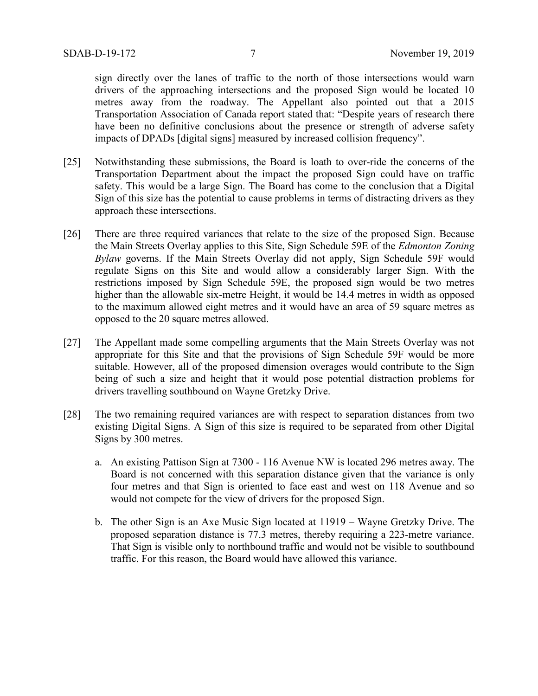sign directly over the lanes of traffic to the north of those intersections would warn drivers of the approaching intersections and the proposed Sign would be located 10 metres away from the roadway. The Appellant also pointed out that a 2015 Transportation Association of Canada report stated that: "Despite years of research there have been no definitive conclusions about the presence or strength of adverse safety impacts of DPADs [digital signs] measured by increased collision frequency".

- [25] Notwithstanding these submissions, the Board is loath to over-ride the concerns of the Transportation Department about the impact the proposed Sign could have on traffic safety. This would be a large Sign. The Board has come to the conclusion that a Digital Sign of this size has the potential to cause problems in terms of distracting drivers as they approach these intersections.
- [26] There are three required variances that relate to the size of the proposed Sign. Because the Main Streets Overlay applies to this Site, Sign Schedule 59E of the *Edmonton Zoning Bylaw* governs. If the Main Streets Overlay did not apply, Sign Schedule 59F would regulate Signs on this Site and would allow a considerably larger Sign. With the restrictions imposed by Sign Schedule 59E, the proposed sign would be two metres higher than the allowable six-metre Height, it would be 14.4 metres in width as opposed to the maximum allowed eight metres and it would have an area of 59 square metres as opposed to the 20 square metres allowed.
- [27] The Appellant made some compelling arguments that the Main Streets Overlay was not appropriate for this Site and that the provisions of Sign Schedule 59F would be more suitable. However, all of the proposed dimension overages would contribute to the Sign being of such a size and height that it would pose potential distraction problems for drivers travelling southbound on Wayne Gretzky Drive.
- [28] The two remaining required variances are with respect to separation distances from two existing Digital Signs. A Sign of this size is required to be separated from other Digital Signs by 300 metres.
	- a. An existing Pattison Sign at 7300 116 Avenue NW is located 296 metres away. The Board is not concerned with this separation distance given that the variance is only four metres and that Sign is oriented to face east and west on 118 Avenue and so would not compete for the view of drivers for the proposed Sign.
	- b. The other Sign is an Axe Music Sign located at 11919 Wayne Gretzky Drive. The proposed separation distance is 77.3 metres, thereby requiring a 223-metre variance. That Sign is visible only to northbound traffic and would not be visible to southbound traffic. For this reason, the Board would have allowed this variance.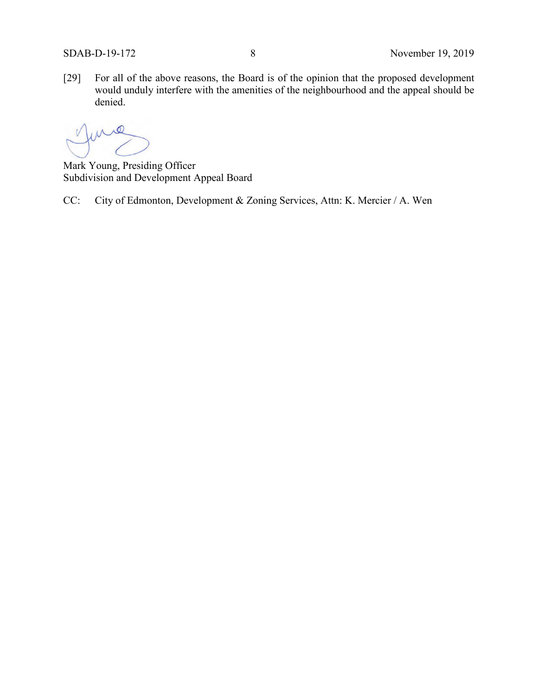[29] For all of the above reasons, the Board is of the opinion that the proposed development would unduly interfere with the amenities of the neighbourhood and the appeal should be denied.

 $\circ$ 

Mark Young, Presiding Officer Subdivision and Development Appeal Board

CC: City of Edmonton, Development & Zoning Services, Attn: K. Mercier / A. Wen